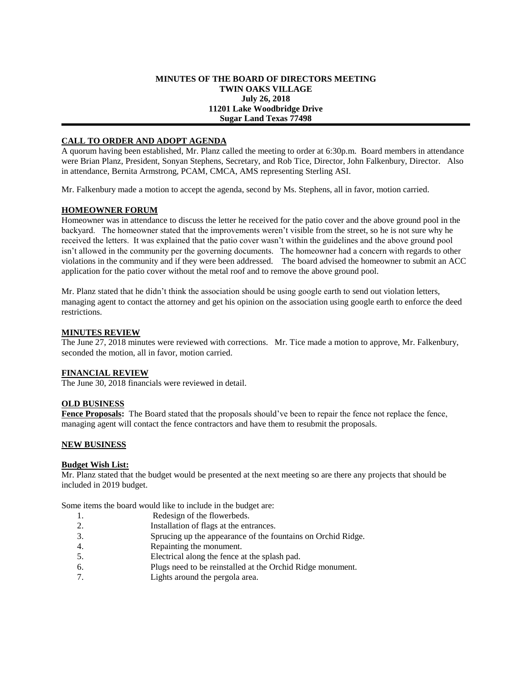#### **MINUTES OF THE BOARD OF DIRECTORS MEETING TWIN OAKS VILLAGE July 26, 2018 11201 Lake Woodbridge Drive Sugar Land Texas 77498**

## **CALL TO ORDER AND ADOPT AGENDA**

A quorum having been established, Mr. Planz called the meeting to order at 6:30p.m. Board members in attendance were Brian Planz, President, Sonyan Stephens, Secretary, and Rob Tice, Director, John Falkenbury, Director. Also in attendance, Bernita Armstrong, PCAM, CMCA, AMS representing Sterling ASI.

Mr. Falkenbury made a motion to accept the agenda, second by Ms. Stephens, all in favor, motion carried.

### **HOMEOWNER FORUM**

Homeowner was in attendance to discuss the letter he received for the patio cover and the above ground pool in the backyard. The homeowner stated that the improvements weren't visible from the street, so he is not sure why he received the letters. It was explained that the patio cover wasn't within the guidelines and the above ground pool isn't allowed in the community per the governing documents. The homeowner had a concern with regards to other violations in the community and if they were been addressed. The board advised the homeowner to submit an ACC application for the patio cover without the metal roof and to remove the above ground pool.

Mr. Planz stated that he didn't think the association should be using google earth to send out violation letters, managing agent to contact the attorney and get his opinion on the association using google earth to enforce the deed restrictions.

### **MINUTES REVIEW**

The June 27, 2018 minutes were reviewed with corrections. Mr. Tice made a motion to approve, Mr. Falkenbury, seconded the motion, all in favor, motion carried.

### **FINANCIAL REVIEW**

The June 30, 2018 financials were reviewed in detail.

### **OLD BUSINESS**

**Fence Proposals:** The Board stated that the proposals should've been to repair the fence not replace the fence, managing agent will contact the fence contractors and have them to resubmit the proposals.

### **NEW BUSINESS**

### **Budget Wish List:**

Mr. Planz stated that the budget would be presented at the next meeting so are there any projects that should be included in 2019 budget.

Some items the board would like to include in the budget are:

- 1. Redesign of the flowerbeds.
- 2. Installation of flags at the entrances.
- 3. Sprucing up the appearance of the fountains on Orchid Ridge.
- 4. Repainting the monument.
- 5. Electrical along the fence at the splash pad.
- 6. Plugs need to be reinstalled at the Orchid Ridge monument.
- 7. Lights around the pergola area.